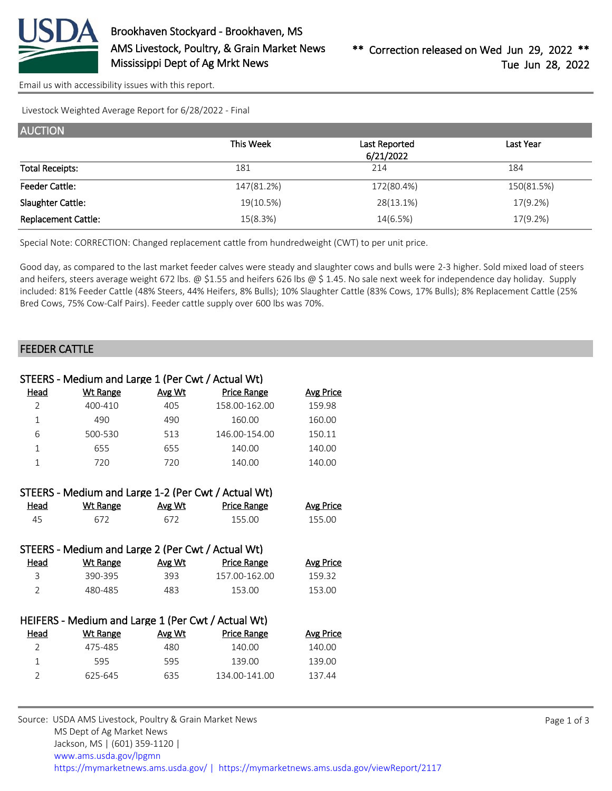

[Email us with accessibility issues with this report.](mailto:mars@ams.usda.gov?subject=508%20issue)

Livestock Weighted Average Report for 6/28/2022 - Final

| <b>AUCTION</b>             |            |               |                  |
|----------------------------|------------|---------------|------------------|
|                            | This Week  | Last Reported | <b>Last Year</b> |
|                            |            | 6/21/2022     |                  |
| <b>Total Receipts:</b>     | 181        | 214           | 184              |
| <b>Feeder Cattle:</b>      | 147(81.2%) | 172(80.4%)    | 150(81.5%)       |
| Slaughter Cattle:          | 19(10.5%)  | 28(13.1%)     | 17(9.2%)         |
| <b>Replacement Cattle:</b> | 15(8.3%)   | 14(6.5%)      | 17(9.2%)         |

Special Note: CORRECTION: Changed replacement cattle from hundredweight (CWT) to per unit price.

Good day, as compared to the last market feeder calves were steady and slaughter cows and bulls were 2-3 higher. Sold mixed load of steers and heifers, steers average weight 672 lbs. @ \$1.55 and heifers 626 lbs @ \$1.45. No sale next week for independence day holiday. Supply included: 81% Feeder Cattle (48% Steers, 44% Heifers, 8% Bulls); 10% Slaughter Cattle (83% Cows, 17% Bulls); 8% Replacement Cattle (25% Bred Cows, 75% Cow-Calf Pairs). Feeder cattle supply over 600 lbs was 70%.

## FEEDER CATTLE

| STEERS - Medium and Large 1 (Per Cwt / Actual Wt) |                                                     |        |                    |                  |  |  |  |
|---------------------------------------------------|-----------------------------------------------------|--------|--------------------|------------------|--|--|--|
| Head                                              | <b>Wt Range</b>                                     | Avg Wt | <b>Price Range</b> | <b>Avg Price</b> |  |  |  |
| $\overline{2}$                                    | 400-410                                             | 405    | 158.00-162.00      | 159.98           |  |  |  |
| $\mathbf{1}$                                      | 490                                                 | 490    | 160.00             | 160.00           |  |  |  |
| 6                                                 | 500-530                                             | 513    | 146.00-154.00      | 150.11           |  |  |  |
| $\mathbf{1}$                                      | 655                                                 | 655    | 140.00             | 140.00           |  |  |  |
| $\mathbf{1}$                                      | 720                                                 | 720    | 140.00             | 140.00           |  |  |  |
|                                                   |                                                     |        |                    |                  |  |  |  |
|                                                   | STEERS - Medium and Large 1-2 (Per Cwt / Actual Wt) |        |                    |                  |  |  |  |
| <u>Head</u>                                       | <b>Wt Range</b>                                     | Avg Wt | <b>Price Range</b> | <b>Avg Price</b> |  |  |  |
| 45                                                | 672                                                 | 672    | 155.00             | 155.00           |  |  |  |
|                                                   |                                                     |        |                    |                  |  |  |  |
|                                                   | STEERS - Medium and Large 2 (Per Cwt / Actual Wt)   |        |                    |                  |  |  |  |
| Head                                              | Wt Range                                            | Avg Wt | <b>Price Range</b> | <b>Avg Price</b> |  |  |  |
| 3                                                 | 390-395                                             | 393    | 157.00-162.00      | 159.32           |  |  |  |
| $\overline{2}$                                    | 480-485                                             | 483    | 153.00             | 153.00           |  |  |  |
|                                                   |                                                     |        |                    |                  |  |  |  |
|                                                   | HEIFERS - Medium and Large 1 (Per Cwt / Actual Wt)  |        |                    |                  |  |  |  |
| <u>Head</u>                                       | <b>Wt Range</b>                                     | Avg Wt | <b>Price Range</b> | <b>Avg Price</b> |  |  |  |
| $\overline{2}$                                    | 475-485                                             | 480    | 140.00             | 140.00           |  |  |  |
| $\mathbf{1}$                                      | 595                                                 | 595    | 139.00             | 139.00           |  |  |  |
| $\overline{2}$                                    | 625-645                                             | 635    | 134.00-141.00      | 137.44           |  |  |  |
|                                                   |                                                     |        |                    |                  |  |  |  |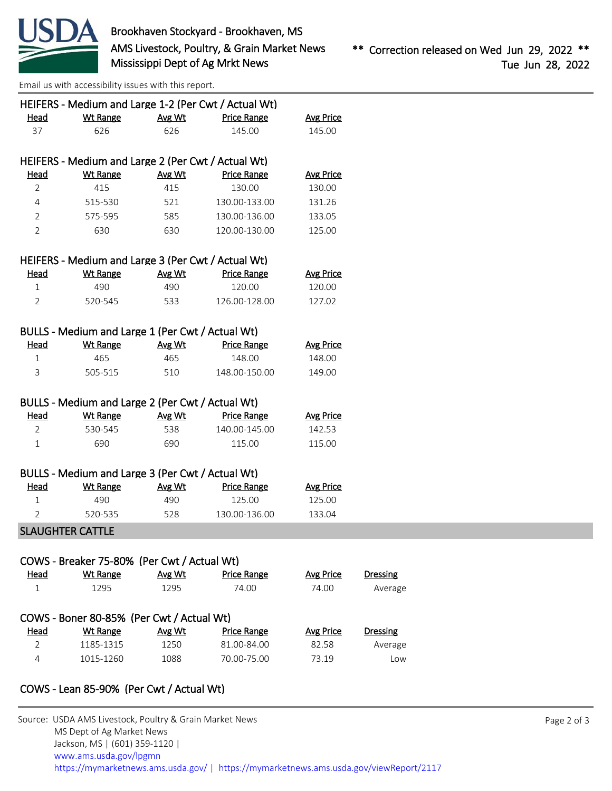

[Email us with accessibility issues with this report.](mailto:mars@ams.usda.gov?subject=508%20issue)

|                             | HEIFERS - Medium and Large 1-2 (Per Cwt / Actual Wt) |                |                             |                           |                 |
|-----------------------------|------------------------------------------------------|----------------|-----------------------------|---------------------------|-----------------|
| <b>Head</b>                 | <b>Wt Range</b>                                      | Avg Wt         | <b>Price Range</b>          | <b>Avg Price</b>          |                 |
| 37                          | 626                                                  | 626            | 145.00                      | 145.00                    |                 |
|                             | HEIFERS - Medium and Large 2 (Per Cwt / Actual Wt)   |                |                             |                           |                 |
| <b>Head</b>                 | <b>Wt Range</b>                                      | Avg Wt         | <b>Price Range</b>          | <b>Avg Price</b>          |                 |
| 2                           | 415                                                  | 415            | 130.00                      | 130.00                    |                 |
| 4                           | 515-530                                              | 521            | 130.00-133.00               | 131.26                    |                 |
| 2                           | 575-595                                              | 585            | 130.00-136.00               | 133.05                    |                 |
| $\overline{2}$              | 630                                                  | 630            | 120.00-130.00               | 125.00                    |                 |
|                             | HEIFERS - Medium and Large 3 (Per Cwt / Actual Wt)   |                |                             |                           |                 |
| <b>Head</b>                 | <b>Wt Range</b>                                      | Avg Wt         | <b>Price Range</b>          | <b>Avg Price</b>          |                 |
| 1                           | 490                                                  | 490            | 120.00                      | 120.00                    |                 |
| $\overline{2}$              | 520-545                                              | 533            | 126.00-128.00               | 127.02                    |                 |
|                             | BULLS - Medium and Large 1 (Per Cwt / Actual Wt)     |                |                             |                           |                 |
| Head                        | <b>Wt Range</b>                                      | Avg Wt         | <b>Price Range</b>          | <b>Avg Price</b>          |                 |
| 1                           | 465                                                  | 465            | 148.00                      | 148.00                    |                 |
| 3                           | 505-515                                              | 510            | 148.00-150.00               | 149.00                    |                 |
|                             |                                                      |                |                             |                           |                 |
|                             | BULLS - Medium and Large 2 (Per Cwt / Actual Wt)     |                |                             |                           |                 |
| <b>Head</b>                 | <b>Wt Range</b>                                      | Avg Wt         | <b>Price Range</b>          | <b>Avg Price</b>          |                 |
| 2                           | 530-545                                              | 538            | 140.00-145.00               | 142.53                    |                 |
| 1                           | 690                                                  | 690            | 115.00                      | 115.00                    |                 |
|                             | BULLS - Medium and Large 3 (Per Cwt / Actual Wt)     |                |                             |                           |                 |
| <u>Head</u>                 | <b>Wt Range</b>                                      | Avg Wt         | <b>Price Range</b>          | <b>Avg Price</b>          |                 |
| 1                           | 490                                                  | 490            | 125.00                      | 125.00                    |                 |
| $\overline{2}$              | 520-535                                              | 528            | 130.00-136.00               | 133.04                    |                 |
|                             | <b>SLAUGHTER CATTLE</b>                              |                |                             |                           |                 |
|                             |                                                      |                |                             |                           |                 |
|                             | COWS - Breaker 75-80% (Per Cwt / Actual Wt)          |                |                             |                           |                 |
| <b>Head</b><br>$\mathbf{1}$ | <b>Wt Range</b><br>1295                              | Avg Wt<br>1295 | <b>Price Range</b><br>74.00 | <b>Avg Price</b><br>74.00 | <b>Dressing</b> |
|                             |                                                      |                |                             |                           | Average         |
|                             | COWS - Boner 80-85% (Per Cwt / Actual Wt)            |                |                             |                           |                 |
| <b>Head</b>                 | <b>Wt Range</b>                                      | Avg Wt         | <b>Price Range</b>          | <b>Avg Price</b>          | <b>Dressing</b> |
| $\overline{2}$              | 1185-1315                                            | 1250           | 81.00-84.00                 | 82.58                     | Average         |
| 4                           | 1015-1260                                            | 1088           | 70.00-75.00                 | 73.19                     | Low             |

## COWS - Lean 85-90% (Per Cwt / Actual Wt)

| Source: USDA AMS Livestock, Poultry & Grain Market News                                |
|----------------------------------------------------------------------------------------|
| MS Dept of Ag Market News                                                              |
| Jackson, MS   (601) 359-1120                                                           |
| www.ams.usda.gov/lpgmn                                                                 |
| https://mymarketnews.ams.usda.gov/   https://mymarketnews.ams.usda.gov/viewReport/2117 |